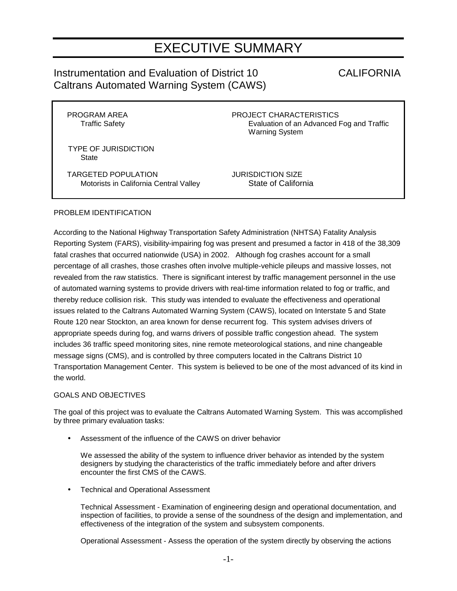# EXECUTIVE SUMMARY

## Instrumentation and Evaluation of District 10 CALIFORNIA Caltrans Automated Warning System (CAWS)

PROGRAM AREA **PROJECT CHARACTERISTICS** Traffic Safety **Evaluation of an Advanced Fog and Traffic** Warning System

 TYPE OF JURISDICTION **State** 

 TARGETED POPULATION JURISDICTION SIZE Motorists in California Central Valley State of California

### PROBLEM IDENTIFICATION

According to the National Highway Transportation Safety Administration (NHTSA) Fatality Analysis Reporting System (FARS), visibility-impairing fog was present and presumed a factor in 418 of the 38,309 fatal crashes that occurred nationwide (USA) in 2002. Although fog crashes account for a small percentage of all crashes, those crashes often involve multiple-vehicle pileups and massive losses, not revealed from the raw statistics. There is significant interest by traffic management personnel in the use of automated warning systems to provide drivers with real-time information related to fog or traffic, and thereby reduce collision risk. This study was intended to evaluate the effectiveness and operational issues related to the Caltrans Automated Warning System (CAWS), located on Interstate 5 and State Route 120 near Stockton, an area known for dense recurrent fog. This system advises drivers of appropriate speeds during fog, and warns drivers of possible traffic congestion ahead. The system includes 36 traffic speed monitoring sites, nine remote meteorological stations, and nine changeable message signs (CMS), and is controlled by three computers located in the Caltrans District 10 Transportation Management Center. This system is believed to be one of the most advanced of its kind in the world.

#### GOALS AND OBJECTIVES

The goal of this project was to evaluate the Caltrans Automated Warning System. This was accomplished by three primary evaluation tasks:

Assessment of the influence of the CAWS on driver behavior

We assessed the ability of the system to influence driver behavior as intended by the system designers by studying the characteristics of the traffic immediately before and after drivers encounter the first CMS of the CAWS.

• Technical and Operational Assessment

Technical Assessment - Examination of engineering design and operational documentation, and inspection of facilities, to provide a sense of the soundness of the design and implementation, and effectiveness of the integration of the system and subsystem components.

Operational Assessment - Assess the operation of the system directly by observing the actions